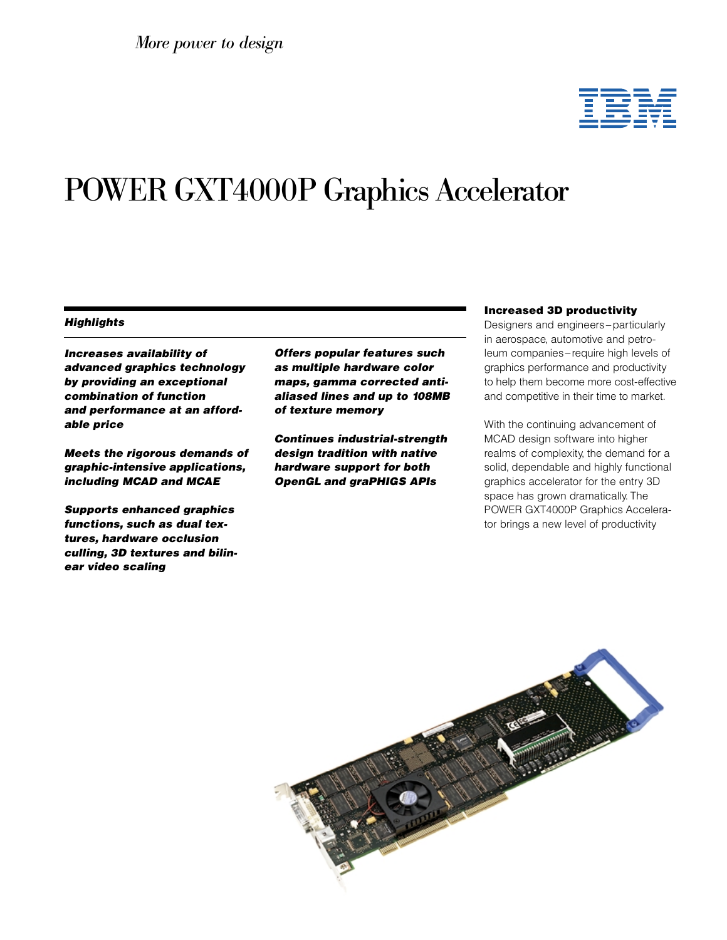

# POWER GXT4000P Graphics Accelerator

### **Highlights**

Increases availability of advanced graphics technology by providing an exceptional combination of function and performance at an affordable price

Meets the rigorous demands of graphic-intensive applications, including MCAD and MCAE

Supports enhanced graphics functions, such as dual textures, hardware occlusion culling, 3D textures and bilinear video scaling

Offers popular features such as multiple hardware color maps, gamma corrected antialiased lines and up to 108MB of texture memory

Continues industrial-strength design tradition with native hardware support for both OpenGL and graPHIGS APIs

#### Increased 3D productivity

Designers and engineers–particularly in aerospace, automotive and petroleum companies–require high levels of graphics performance and productivity to help them become more cost-effective and competitive in their time to market.

With the continuing advancement of MCAD design software into higher realms of complexity, the demand for a solid, dependable and highly functional graphics accelerator for the entry 3D space has grown dramatically. The POWER GXT4000P Graphics Accelerator brings a new level of productivity

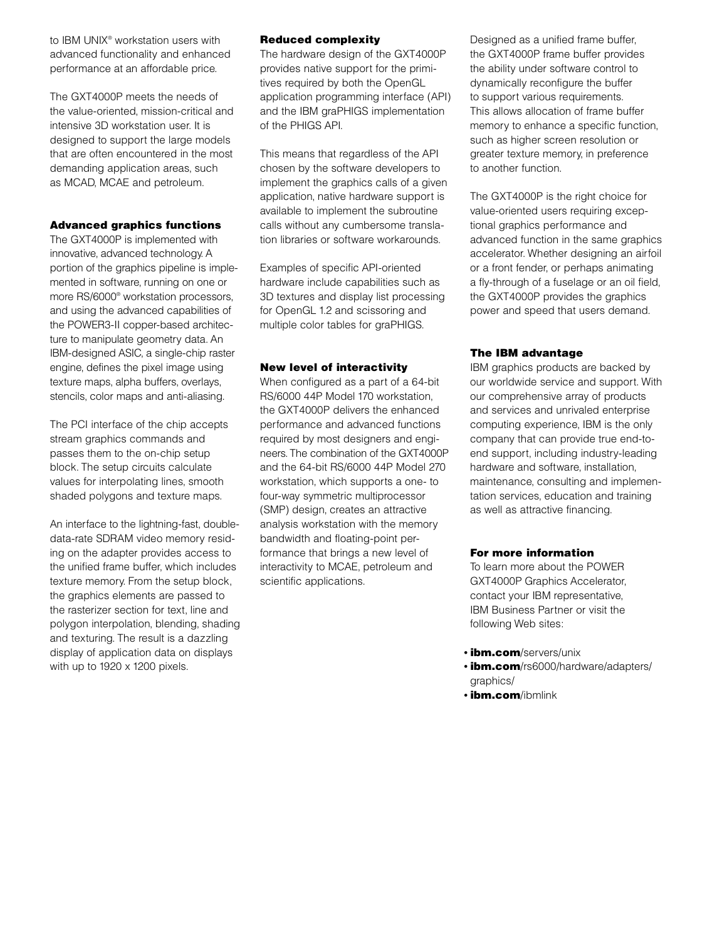to IBM UNIX® workstation users with advanced functionality and enhanced performance at an affordable price.

The GXT4000P meets the needs of the value-oriented, mission-critical and intensive 3D workstation user. It is designed to support the large models that are often encountered in the most demanding application areas, such as MCAD, MCAE and petroleum.

# Advanced graphics functions

The GXT4000P is implemented with innovative, advanced technology. A portion of the graphics pipeline is implemented in software, running on one or more RS/6000® workstation processors, and using the advanced capabilities of the POWER3-II copper-based architecture to manipulate geometry data. An IBM-designed ASIC, a single-chip raster engine, defines the pixel image using texture maps, alpha buffers, overlays, stencils, color maps and anti-aliasing.

The PCI interface of the chip accepts stream graphics commands and passes them to the on-chip setup block. The setup circuits calculate values for interpolating lines, smooth shaded polygons and texture maps.

An interface to the lightning-fast, doubledata-rate SDRAM video memory residing on the adapter provides access to the unified frame buffer, which includes texture memory. From the setup block, the graphics elements are passed to the rasterizer section for text, line and polygon interpolation, blending, shading and texturing. The result is a dazzling display of application data on displays with up to 1920 x 1200 pixels.

# Reduced complexity

The hardware design of the GXT4000P provides native support for the primitives required by both the OpenGL application programming interface (API) and the IBM graPHIGS implementation of the PHIGS API.

This means that regardless of the API chosen by the software developers to implement the graphics calls of a given application, native hardware support is available to implement the subroutine calls without any cumbersome translation libraries or software workarounds.

Examples of specific API-oriented hardware include capabilities such as 3D textures and display list processing for OpenGL 1.2 and scissoring and multiple color tables for graPHIGS.

### New level of interactivity

When configured as a part of a 64-bit RS/6000 44P Model 170 workstation, the GXT4000P delivers the enhanced performance and advanced functions required by most designers and engineers. The combination of the GXT4000P and the 64-bit RS/6000 44P Model 270 workstation, which supports a one- to four-way symmetric multiprocessor (SMP) design, creates an attractive analysis workstation with the memory bandwidth and floating-point performance that brings a new level of interactivity to MCAE, petroleum and scientific applications.

Designed as a unified frame buffer, the GXT4000P frame buffer provides the ability under software control to dynamically reconfigure the buffer to support various requirements. This allows allocation of frame buffer memory to enhance a specific function, such as higher screen resolution or greater texture memory, in preference to another function.

The GXT4000P is the right choice for value-oriented users requiring exceptional graphics performance and advanced function in the same graphics accelerator. Whether designing an airfoil or a front fender, or perhaps animating a fly-through of a fuselage or an oil field, the GXT4000P provides the graphics power and speed that users demand.

# The IBM advantage

IBM graphics products are backed by our worldwide service and support. With our comprehensive array of products and services and unrivaled enterprise computing experience, IBM is the only company that can provide true end-toend support, including industry-leading hardware and software, installation, maintenance, consulting and implementation services, education and training as well as attractive financing.

### For more information

To learn more about the POWER GXT4000P Graphics Accelerator, contact your IBM representative, IBM Business Partner or visit the following Web sites:

- **ibm.com**/servers/unix
- *ibm.com/rs6000/hardware/adapters/* graphics/
- **ibm.com**/ibmlink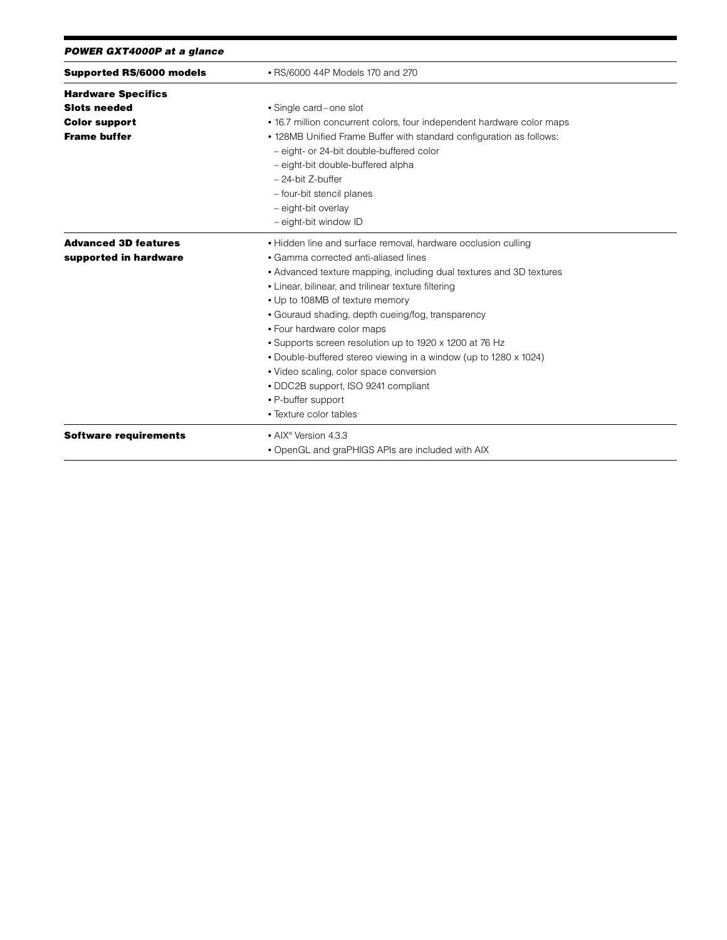|  |  | POWER GXT4000P at a glance |  |  |
|--|--|----------------------------|--|--|
|--|--|----------------------------|--|--|

| <b>Supported RS/6000 models</b> | • RS/6000 44P Models 170 and 270                                       |  |  |
|---------------------------------|------------------------------------------------------------------------|--|--|
| <b>Hardware Specifics</b>       |                                                                        |  |  |
| <b>Slots needed</b>             | • Single card-one slot                                                 |  |  |
| <b>Color support</b>            | • 16.7 million concurrent colors, four independent hardware color maps |  |  |
| <b>Frame buffer</b>             | . 128MB Unified Frame Buffer with standard configuration as follows:   |  |  |
|                                 | - eight- or 24-bit double-buffered color                               |  |  |
|                                 | - eight-bit double-buffered alpha                                      |  |  |
|                                 | - 24-bit Z-buffer                                                      |  |  |
|                                 | - four-bit stencil planes                                              |  |  |
|                                 | - eight-bit overlay                                                    |  |  |
|                                 | - eight-bit window ID                                                  |  |  |
| <b>Advanced 3D features</b>     | · Hidden line and surface removal, hardware occlusion culling          |  |  |
| supported in hardware           | • Gamma corrected anti-aliased lines                                   |  |  |
|                                 | • Advanced texture mapping, including dual textures and 3D textures    |  |  |
|                                 | • Linear, bilinear, and trilinear texture filtering                    |  |  |
|                                 | • Up to 108MB of texture memory                                        |  |  |
|                                 | • Gouraud shading, depth cueing/fog, transparency                      |  |  |
|                                 | • Four hardware color maps                                             |  |  |
|                                 | • Supports screen resolution up to 1920 x 1200 at 76 Hz                |  |  |
|                                 | • Double-buffered stereo viewing in a window (up to 1280 x 1024)       |  |  |
|                                 | • Video scaling, color space conversion                                |  |  |
|                                 | • DDC2B support, ISO 9241 compliant                                    |  |  |
|                                 | • P-buffer support                                                     |  |  |
|                                 | • Texture color tables                                                 |  |  |
| <b>Software requirements</b>    | • AIX <sup>®</sup> Version 4.3.3                                       |  |  |
|                                 | • OpenGL and graPHIGS APIs are included with AIX                       |  |  |